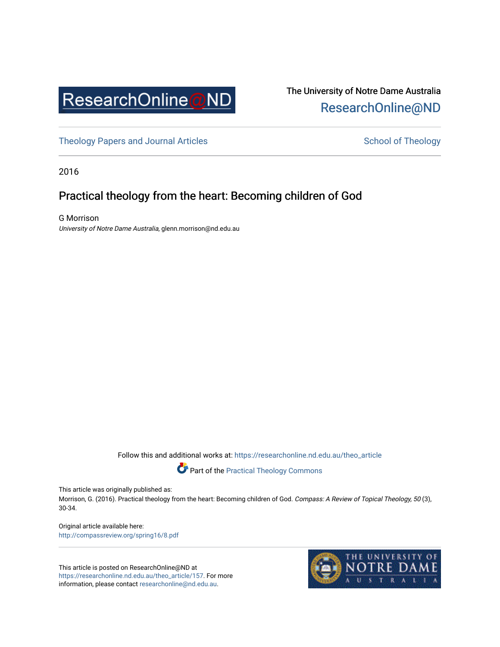

# The University of Notre Dame Australia [ResearchOnline@ND](https://researchonline.nd.edu.au/)

[Theology Papers and Journal Articles](https://researchonline.nd.edu.au/theo_article) and [School of Theology](https://researchonline.nd.edu.au/theo) School of Theology

2016

# Practical theology from the heart: Becoming children of God

G Morrison University of Notre Dame Australia, glenn.morrison@nd.edu.au

Follow this and additional works at: [https://researchonline.nd.edu.au/theo\\_article](https://researchonline.nd.edu.au/theo_article?utm_source=researchonline.nd.edu.au%2Ftheo_article%2F157&utm_medium=PDF&utm_campaign=PDFCoverPages) 

Part of the [Practical Theology Commons](http://network.bepress.com/hgg/discipline/1186?utm_source=researchonline.nd.edu.au%2Ftheo_article%2F157&utm_medium=PDF&utm_campaign=PDFCoverPages) 

This article was originally published as:

Morrison, G. (2016). Practical theology from the heart: Becoming children of God. Compass: A Review of Topical Theology, 50 (3), 30-34.

Original article available here: <http://compassreview.org/spring16/8.pdf>

This article is posted on ResearchOnline@ND at [https://researchonline.nd.edu.au/theo\\_article/157](https://researchonline.nd.edu.au/theo_article/157). For more information, please contact [researchonline@nd.edu.au.](mailto:researchonline@nd.edu.au)

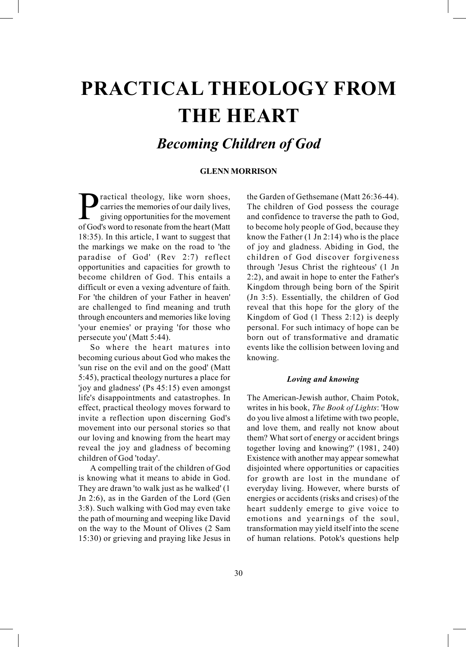# PRACTICAL THEOLOGY FROM THE HEART

# Becoming Children of God

## GLENN MORRISON

ractical theology, like worn shoes, carries the memories of our daily lives, giving opportunities for the movement of God's word to resonate from the heart (Matt 18:35). In this article, I want to suggest that the markings we make on the road to 'the paradise of God' (Rev 2:7) reflect opportunities and capacities for growth to become children of God. This entails a difficult or even a vexing adventure of faith. For 'the children of your Father in heaven' are challenged to find meaning and truth through encounters and memories like loving 'your enemies' or praying 'for those who persecute you' (Matt 5:44).

So where the heart matures into becoming curious about God who makes the 'sun rise on the evil and on the good' (Matt 5:45), practical theology nurtures a place for 'joy and gladness' (Ps 45:15) even amongst life's disappointments and catastrophes. In effect, practical theology moves forward to invite a reflection upon discerning God's movement into our personal stories so that our loving and knowing from the heart may reveal the joy and gladness of becoming children of God 'today'.

A compelling trait of the children of God is knowing what it means to abide in God. They are drawn 'to walk just as he walked' (1 Jn 2:6), as in the Garden of the Lord (Gen 3:8). Such walking with God may even take the path of mourning and weeping like David on the way to the Mount of Olives (2 Sam 15:30) or grieving and praying like Jesus in

the Garden of Gethsemane (Matt 26:36-44). The children of God possess the courage and confidence to traverse the path to God, to become holy people of God, because they know the Father (1 Jn 2:14) who is the place of joy and gladness. Abiding in God, the children of God discover forgiveness through 'Jesus Christ the righteous' (1 Jn 2:2), and await in hope to enter the Father's Kingdom through being born of the Spirit (Jn 3:5). Essentially, the children of God reveal that this hope for the glory of the Kingdom of God (1 Thess 2:12) is deeply personal. For such intimacy of hope can be born out of transformative and dramatic events like the collision between loving and knowing.

#### Loving and knowing

The American-Jewish author, Chaim Potok, writes in his book, The Book of Lights: 'How do you live almost a lifetime with two people, and love them, and really not know about them? What sort of energy or accident brings together loving and knowing?' (1981, 240) Existence with another may appear somewhat disjointed where opportunities or capacities for growth are lost in the mundane of everyday living. However, where bursts of energies or accidents (risks and crises) of the heart suddenly emerge to give voice to emotions and yearnings of the soul, transformation may yield itself into the scene of human relations. Potok's questions help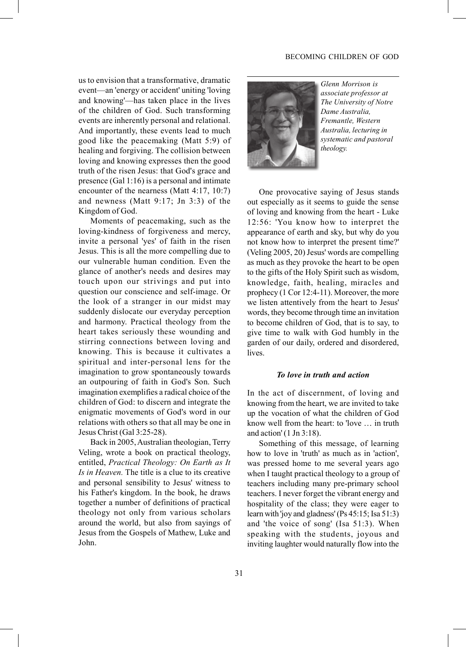#### BECOMING CHILDREN OF GOD

us to envision that a transformative, dramatic event—an 'energy or accident' uniting 'loving and knowing'—has taken place in the lives of the children of God. Such transforming events are inherently personal and relational. And importantly, these events lead to much good like the peacemaking (Matt 5:9) of healing and forgiving. The collision between loving and knowing expresses then the good truth of the risen Jesus: that God's grace and presence (Gal 1:16) is a personal and intimate encounter of the nearness (Matt 4:17, 10:7) and newness (Matt 9:17; Jn 3:3) of the Kingdom of God.

Moments of peacemaking, such as the loving-kindness of forgiveness and mercy, invite a personal 'yes' of faith in the risen Jesus. This is all the more compelling due to our vulnerable human condition. Even the glance of another's needs and desires may touch upon our strivings and put into question our conscience and self-image. Or the look of a stranger in our midst may suddenly dislocate our everyday perception and harmony. Practical theology from the heart takes seriously these wounding and stirring connections between loving and knowing. This is because it cultivates a spiritual and inter-personal lens for the imagination to grow spontaneously towards an outpouring of faith in God's Son. Such imagination exemplifies a radical choice of the children of God: to discern and integrate the enigmatic movements of God's word in our relations with others so that all may be one in Jesus Christ (Gal 3:25-28).

Back in 2005, Australian theologian, Terry Veling, wrote a book on practical theology, entitled, Practical Theology: On Earth as It Is in Heaven. The title is a clue to its creative and personal sensibility to Jesus' witness to his Father's kingdom. In the book, he draws together a number of definitions of practical theology not only from various scholars around the world, but also from sayings of Jesus from the Gospels of Mathew, Luke and John.



Glenn Morrison is associate professor at The University of Notre Dame Australia, Fremantle, Western Australia, lecturing in systematic and pastoral theology.

One provocative saying of Jesus stands out especially as it seems to guide the sense of loving and knowing from the heart - Luke 12:56: 'You know how to interpret the appearance of earth and sky, but why do you not know how to interpret the present time?' (Veling 2005, 20) Jesus' words are compelling as much as they provoke the heart to be open to the gifts of the Holy Spirit such as wisdom, knowledge, faith, healing, miracles and prophecy (1 Cor 12:4-11). Moreover, the more we listen attentively from the heart to Jesus' words, they become through time an invitation to become children of God, that is to say, to give time to walk with God humbly in the garden of our daily, ordered and disordered, lives.

#### To love in truth and action

In the act of discernment, of loving and knowing from the heart, we are invited to take up the vocation of what the children of God know well from the heart: to 'love … in truth and action' (1 Jn 3:18).

Something of this message, of learning how to love in 'truth' as much as in 'action', was pressed home to me several years ago when I taught practical theology to a group of teachers including many pre-primary school teachers. I never forget the vibrant energy and hospitality of the class; they were eager to learn with 'joy and gladness' (Ps 45:15; Isa 51:3) and 'the voice of song' (Isa 51:3). When speaking with the students, joyous and inviting laughter would naturally flow into the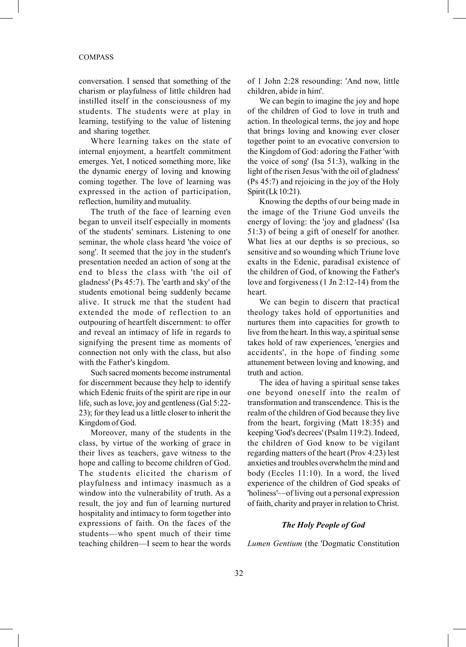#### COMPASS

conversation. I sensed that something of the charism or playfulness of little children had instilled itself in the consciousness of my students. The students were at play in learning, testifying to the value of listening and sharing together.

Where learning takes on the state of internal enjoyment, a heartfelt commitment emerges. Yet, I noticed something more, like the dynamic energy of loving and knowing coming together. The love of learning was expressed in the action of participation, reflection, humility and mutuality.

The truth of the face of learning even began to unveil itself especially in moments of the students' seminars. Listening to one seminar, the whole class heard 'the voice of song'. It seemed that the joy in the student's presentation needed an action of song at the end to bless the class with 'the oil of gladness' (Ps 45:7). The 'earth and sky' of the students emotional being suddenly became alive. It struck me that the student had extended the mode of reflection to an outpouring of heartfelt discernment: to offer and reveal an intimacy of life in regards to signifying the present time as moments of connection not only with the class, but also with the Father's kingdom.

Such sacred moments become instrumental for discernment because they help to identify which Edenic fruits of the spirit are ripe in our life, such as love, joy and gentleness (Gal 5:22- 23); for they lead us a little closer to inherit the Kingdom of God.

Moreover, many of the students in the class, by virtue of the working of grace in their lives as teachers, gave witness to the hope and calling to become children of God. The students elicited the charism of playfulness and intimacy inasmuch as a window into the vulnerability of truth. As a result, the joy and fun of learning nurtured hospitality and intimacy to form together into expressions of faith. On the faces of the students—who spent much of their time teaching children—I seem to hear the words of 1 John 2:28 resounding: 'And now, little children, abide in him'.

We can begin to imagine the joy and hope of the children of God to love in truth and action. In theological terms, the joy and hope that brings loving and knowing ever closer together point to an evocative conversion to the Kingdom of God: adoring the Father 'with the voice of song' (Isa 51:3), walking in the light of the risen Jesus 'with the oil of gladness' (Ps 45:7) and rejoicing in the joy of the Holy Spirit (Lk 10:21).

Knowing the depths of our being made in the image of the Triune God unveils the energy of loving: the 'joy and gladness' (Isa 51:3) of being a gift of oneself for another. What lies at our depths is so precious, so sensitive and so wounding which Triune love exalts in the Edenic, paradisal existence of the children of God, of knowing the Father's love and forgiveness (1 Jn 2:12-14) from the heart.

We can begin to discern that practical theology takes hold of opportunities and nurtures them into capacities for growth to live from the heart. In this way, a spiritual sense takes hold of raw experiences, 'energies and accidents', in the hope of finding some attunement between loving and knowing, and truth and action.

The idea of having a spiritual sense takes one beyond oneself into the realm of transformation and transcendence. This is the realm of the children of God because they live from the heart, forgiving (Matt 18:35) and keeping 'God's decrees' (Psalm 119:2). Indeed, the children of God know to be vigilant regarding matters of the heart (Prov 4:23) lest anxieties and troubles overwhelm the mind and body (Eccles 11:10). In a word, the lived experience of the children of God speaks of 'holiness'—of living out a personal expression of faith, charity and prayer in relation to Christ.

## The Holy People of God

Lumen Gentium (the 'Dogmatic Constitution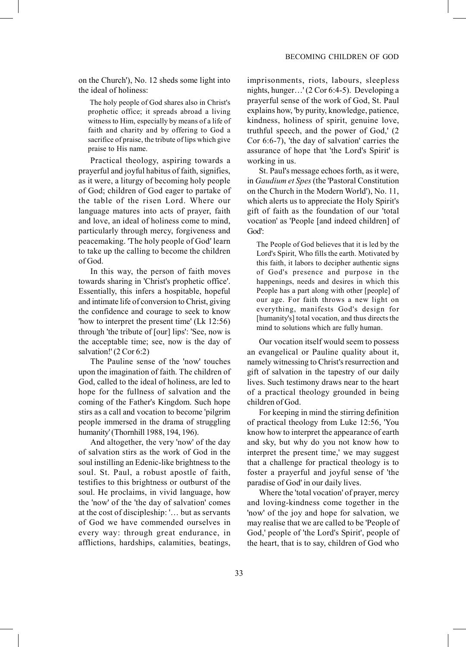on the Church'), No. 12 sheds some light into the ideal of holiness:

 The holy people of God shares also in Christ's prophetic office; it spreads abroad a living witness to Him, especially by means of a life of faith and charity and by offering to God a sacrifice of praise, the tribute of lips which give praise to His name.

Practical theology, aspiring towards a prayerful and joyful habitus of faith, signifies, as it were, a liturgy of becoming holy people of God; children of God eager to partake of the table of the risen Lord. Where our language matures into acts of prayer, faith and love, an ideal of holiness come to mind, particularly through mercy, forgiveness and peacemaking. 'The holy people of God' learn to take up the calling to become the children of God.

In this way, the person of faith moves towards sharing in 'Christ's prophetic office'. Essentially, this infers a hospitable, hopeful and intimate life of conversion to Christ, giving the confidence and courage to seek to know 'how to interpret the present time' (Lk 12:56) through 'the tribute of [our] lips': 'See, now is the acceptable time; see, now is the day of salvation!' (2 Cor 6:2)

The Pauline sense of the 'now' touches upon the imagination of faith. The children of God, called to the ideal of holiness, are led to hope for the fullness of salvation and the coming of the Father's Kingdom. Such hope stirs as a call and vocation to become 'pilgrim people immersed in the drama of struggling humanity' (Thornhill 1988, 194, 196).

And altogether, the very 'now' of the day of salvation stirs as the work of God in the soul instilling an Edenic-like brightness to the soul. St. Paul, a robust apostle of faith, testifies to this brightness or outburst of the soul. He proclaims, in vivid language, how the 'now' of the 'the day of salvation' comes at the cost of discipleship: '… but as servants of God we have commended ourselves in every way: through great endurance, in afflictions, hardships, calamities, beatings,

imprisonments, riots, labours, sleepless nights, hunger…' (2 Cor 6:4-5). Developing a prayerful sense of the work of God, St. Paul explains how, 'by purity, knowledge, patience, kindness, holiness of spirit, genuine love, truthful speech, and the power of God,' (2 Cor 6:6-7), 'the day of salvation' carries the assurance of hope that 'the Lord's Spirit' is working in us.

St. Paul's message echoes forth, as it were, in Gaudium et Spes (the 'Pastoral Constitution on the Church in the Modern World'), No. 11, which alerts us to appreciate the Holy Spirit's gift of faith as the foundation of our 'total vocation' as 'People [and indeed children] of God':

The People of God believes that it is led by the Lord's Spirit, Who fills the earth. Motivated by this faith, it labors to decipher authentic signs of God's presence and purpose in the happenings, needs and desires in which this People has a part along with other [people] of our age. For faith throws a new light on everything, manifests God's design for [humanity's] total vocation, and thus directs the mind to solutions which are fully human.

Our vocation itself would seem to possess an evangelical or Pauline quality about it, namely witnessing to Christ's resurrection and gift of salvation in the tapestry of our daily lives. Such testimony draws near to the heart of a practical theology grounded in being children of God.

For keeping in mind the stirring definition of practical theology from Luke 12:56, 'You know how to interpret the appearance of earth and sky, but why do you not know how to interpret the present time,' we may suggest that a challenge for practical theology is to foster a prayerful and joyful sense of 'the paradise of God' in our daily lives.

Where the 'total vocation' of prayer, mercy and loving-kindness come together in the 'now' of the joy and hope for salvation, we may realise that we are called to be 'People of God,' people of 'the Lord's Spirit', people of the heart, that is to say, children of God who